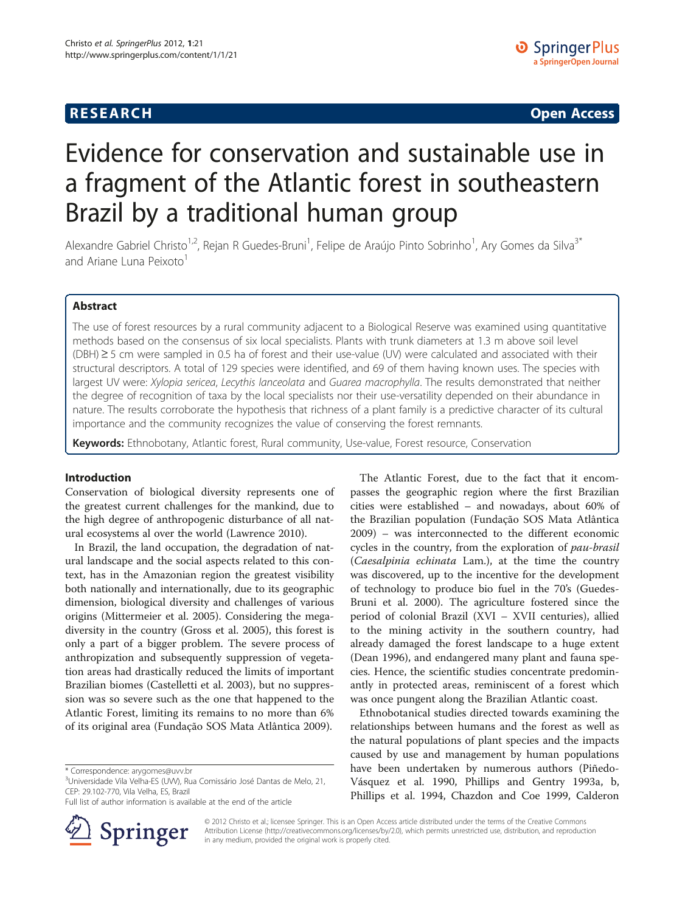# **RESEARCH CHINESE ARCH CHINESE ARCH CHINESE ARCH <b>CHINESE ARCH**

# Evidence for conservation and sustainable use in a fragment of the Atlantic forest in southeastern Brazil by a traditional human group

Alexandre Gabriel Christo<sup>1,2</sup>, Rejan R Guedes-Bruni<sup>1</sup>, Felipe de Araújo Pinto Sobrinho<sup>1</sup>, Ary Gomes da Silva<sup>3\*</sup> and Ariane Luna Peixoto<sup>1</sup>

## Abstract

The use of forest resources by a rural community adjacent to a Biological Reserve was examined using quantitative methods based on the consensus of six local specialists. Plants with trunk diameters at 1.3 m above soil level (DBH) ≥ 5 cm were sampled in 0.5 ha of forest and their use-value (UV) were calculated and associated with their structural descriptors. A total of 129 species were identified, and 69 of them having known uses. The species with largest UV were: Xylopia sericea, Lecythis lanceolata and Guarea macrophylla. The results demonstrated that neither the degree of recognition of taxa by the local specialists nor their use-versatility depended on their abundance in nature. The results corroborate the hypothesis that richness of a plant family is a predictive character of its cultural importance and the community recognizes the value of conserving the forest remnants.

Keywords: Ethnobotany, Atlantic forest, Rural community, Use-value, Forest resource, Conservation

## Introduction

Conservation of biological diversity represents one of the greatest current challenges for the mankind, due to the high degree of anthropogenic disturbance of all natural ecosystems al over the world ([Lawrence 2010\)](#page-10-0).

In Brazil, the land occupation, the degradation of natural landscape and the social aspects related to this context, has in the Amazonian region the greatest visibility both nationally and internationally, due to its geographic dimension, biological diversity and challenges of various origins [\(Mittermeier et al. 2005](#page-10-0)). Considering the megadiversity in the country [\(Gross et al. 2005\)](#page-10-0), this forest is only a part of a bigger problem. The severe process of anthropization and subsequently suppression of vegetation areas had drastically reduced the limits of important Brazilian biomes ([Castelletti et al. 2003\)](#page-10-0), but no suppression was so severe such as the one that happened to the Atlantic Forest, limiting its remains to no more than 6% of its original area [\(Fundação SOS Mata Atlântica 2009\)](#page-10-0).

Full list of author information is available at the end of the article



The Atlantic Forest, due to the fact that it encompasses the geographic region where the first Brazilian cities were established – and nowadays, about 60% of the Brazilian population ([Fundação SOS Mata Atlântica](#page-10-0) [2009](#page-10-0)) – was interconnected to the different economic cycles in the country, from the exploration of pau-brasil (Caesalpinia echinata Lam.), at the time the country was discovered, up to the incentive for the development of technology to produce bio fuel in the 70's ([Guedes-](#page-10-0)[Bruni et al. 2000\)](#page-10-0). The agriculture fostered since the period of colonial Brazil (XVI – XVII centuries), allied to the mining activity in the southern country, had already damaged the forest landscape to a huge extent ([Dean 1996\)](#page-10-0), and endangered many plant and fauna species. Hence, the scientific studies concentrate predominantly in protected areas, reminiscent of a forest which was once pungent along the Brazilian Atlantic coast.

Ethnobotanical studies directed towards examining the relationships between humans and the forest as well as the natural populations of plant species and the impacts caused by use and management by human populations have been undertaken by numerous authors ([Piñedo-](#page-10-0)[Vásquez et al. 1990](#page-10-0), [Phillips and Gentry 1993a](#page-10-0), [b](#page-10-0), [Phillips et al. 1994, Chazdon and Coe 1999](#page-10-0), [Calderon](#page-10-0)

© 2012 Christo et al.; licensee Springer. This is an Open Access article distributed under the terms of the Creative Commons Attribution License [\(http://creativecommons.org/licenses/by/2.0\)](http://creativecommons.org/licenses/by/2.0), which permits unrestricted use, distribution, and reproduction in any medium, provided the original work is properly cited.

<sup>\*</sup> Correspondence: [arygomes@uvv.br](mailto:arygomes@uvv.br) <sup>3</sup>

<sup>&</sup>lt;sup>3</sup>Universidade Vila Velha-ES (UVV), Rua Comissário José Dantas de Melo, 21, CEP: 29.102-770, Vila Velha, ES, Brazil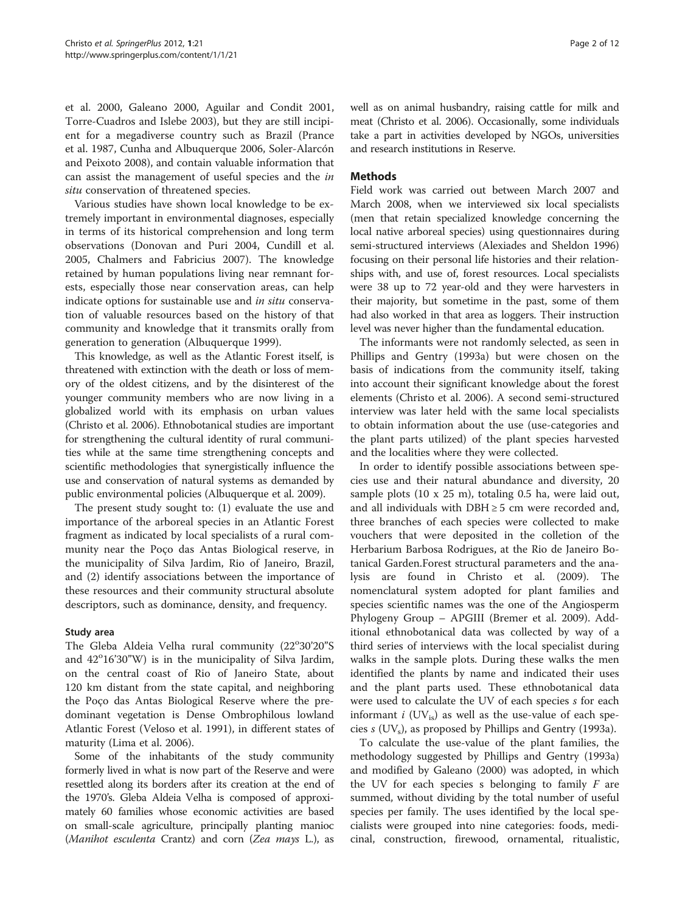[et al. 2000](#page-10-0), [Galeano 2000, Aguilar and Condit 2001](#page-10-0), [Torre-Cuadros and Islebe 2003](#page-11-0)), but they are still incipient for a megadiverse country such as Brazil ([Prance](#page-10-0) [et al. 1987](#page-10-0), [Cunha and Albuquerque 2006, Soler-Alarcón](#page-10-0) [and Peixoto 2008\)](#page-10-0), and contain valuable information that can assist the management of useful species and the in situ conservation of threatened species.

Various studies have shown local knowledge to be extremely important in environmental diagnoses, especially in terms of its historical comprehension and long term observations [\(Donovan and Puri 2004, Cundill et al.](#page-10-0) [2005](#page-10-0), [Chalmers and Fabricius 2007](#page-10-0)). The knowledge retained by human populations living near remnant forests, especially those near conservation areas, can help indicate options for sustainable use and *in situ* conservation of valuable resources based on the history of that community and knowledge that it transmits orally from generation to generation ([Albuquerque 1999\)](#page-10-0).

This knowledge, as well as the Atlantic Forest itself, is threatened with extinction with the death or loss of memory of the oldest citizens, and by the disinterest of the younger community members who are now living in a globalized world with its emphasis on urban values ([Christo et al. 2006\)](#page-10-0). Ethnobotanical studies are important for strengthening the cultural identity of rural communities while at the same time strengthening concepts and scientific methodologies that synergistically influence the use and conservation of natural systems as demanded by public environmental policies [\(Albuquerque et al. 2009\)](#page-10-0).

The present study sought to: (1) evaluate the use and importance of the arboreal species in an Atlantic Forest fragment as indicated by local specialists of a rural community near the Poço das Antas Biological reserve, in the municipality of Silva Jardim, Rio of Janeiro, Brazil, and (2) identify associations between the importance of these resources and their community structural absolute descriptors, such as dominance, density, and frequency.

## Study area

The Gleba Aldeia Velha rural community (22°30'20"S and 42°16'30"W) is in the municipality of Silva Jardim, on the central coast of Rio of Janeiro State, about 120 km distant from the state capital, and neighboring the Poço das Antas Biological Reserve where the predominant vegetation is Dense Ombrophilous lowland Atlantic Forest [\(Veloso et al. 1991\)](#page-11-0), in different states of maturity ([Lima et al. 2006](#page-10-0)).

Some of the inhabitants of the study community formerly lived in what is now part of the Reserve and were resettled along its borders after its creation at the end of the 1970's. Gleba Aldeia Velha is composed of approximately 60 families whose economic activities are based on small-scale agriculture, principally planting manioc (Manihot esculenta Crantz) and corn (Zea mays L.), as well as on animal husbandry, raising cattle for milk and meat [\(Christo et al. 2006\)](#page-10-0). Occasionally, some individuals take a part in activities developed by NGOs, universities and research institutions in Reserve.

## Methods

Field work was carried out between March 2007 and March 2008, when we interviewed six local specialists (men that retain specialized knowledge concerning the local native arboreal species) using questionnaires during semi-structured interviews [\(Alexiades and Sheldon 1996](#page-10-0)) focusing on their personal life histories and their relationships with, and use of, forest resources. Local specialists were 38 up to 72 year-old and they were harvesters in their majority, but sometime in the past, some of them had also worked in that area as loggers. Their instruction level was never higher than the fundamental education.

The informants were not randomly selected, as seen in [Phillips and Gentry \(1993a](#page-10-0)) but were chosen on the basis of indications from the community itself, taking into account their significant knowledge about the forest elements [\(Christo et al. 2006\)](#page-10-0). A second semi-structured interview was later held with the same local specialists to obtain information about the use (use-categories and the plant parts utilized) of the plant species harvested and the localities where they were collected.

In order to identify possible associations between species use and their natural abundance and diversity, 20 sample plots (10 x 25 m), totaling 0.5 ha, were laid out, and all individuals with DBH $\geq$  5 cm were recorded and, three branches of each species were collected to make vouchers that were deposited in the colletion of the Herbarium Barbosa Rodrigues, at the Rio de Janeiro Botanical Garden.Forest structural parameters and the analysis are found in [Christo et al. \(2009\)](#page-10-0). The nomenclatural system adopted for plant families and species scientific names was the one of the Angiosperm Phylogeny Group – APGIII ([Bremer et al. 2009](#page-10-0)). Additional ethnobotanical data was collected by way of a third series of interviews with the local specialist during walks in the sample plots. During these walks the men identified the plants by name and indicated their uses and the plant parts used. These ethnobotanical data were used to calculate the UV of each species s for each informant *i* (UV<sub>is</sub>) as well as the use-value of each species  $s$  (UV<sub>s</sub>), as proposed by [Phillips and Gentry \(1993a\)](#page-10-0).

To calculate the use-value of the plant families, the methodology suggested by [Phillips and Gentry \(1993a](#page-10-0)) and modified by [Galeano \(2000](#page-10-0)) was adopted, in which the UV for each species s belonging to family  $F$  are summed, without dividing by the total number of useful species per family. The uses identified by the local specialists were grouped into nine categories: foods, medicinal, construction, firewood, ornamental, ritualistic,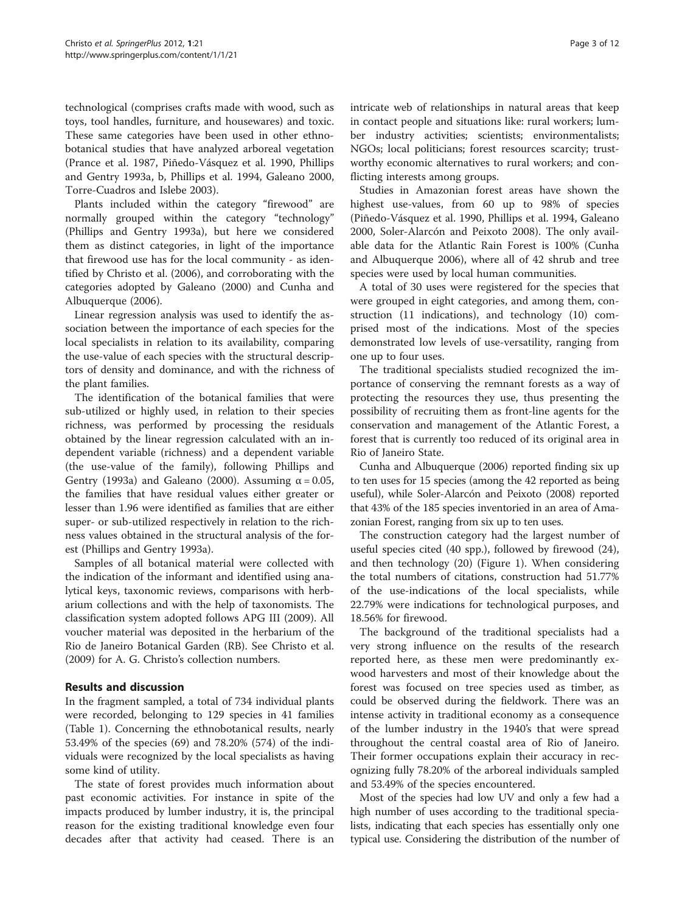technological (comprises crafts made with wood, such as toys, tool handles, furniture, and housewares) and toxic. These same categories have been used in other ethnobotanical studies that have analyzed arboreal vegetation ([Prance et al. 1987](#page-10-0), Piñedo[-Vásquez et al. 1990, Phillips](#page-10-0) [and Gentry 1993a](#page-10-0), [b, Phillips et al. 1994, Galeano 2000](#page-10-0), [Torre-Cuadros and Islebe 2003\)](#page-11-0).

Plants included within the category "firewood" are normally grouped within the category "technology" ([Phillips and Gentry 1993a\)](#page-10-0), but here we considered them as distinct categories, in light of the importance that firewood use has for the local community - as identified by [Christo et al. \(2006](#page-10-0)), and corroborating with the categories adopted by [Galeano \(2000](#page-10-0)) and [Cunha and](#page-10-0) [Albuquerque \(2006\)](#page-10-0).

Linear regression analysis was used to identify the association between the importance of each species for the local specialists in relation to its availability, comparing the use-value of each species with the structural descriptors of density and dominance, and with the richness of the plant families.

The identification of the botanical families that were sub-utilized or highly used, in relation to their species richness, was performed by processing the residuals obtained by the linear regression calculated with an independent variable (richness) and a dependent variable (the use-value of the family), following Phillips and [Gentry \(1993a](#page-10-0)) and [Galeano \(2000\)](#page-10-0). Assuming  $\alpha = 0.05$ , the families that have residual values either greater or lesser than 1.96 were identified as families that are either super- or sub-utilized respectively in relation to the richness values obtained in the structural analysis of the forest [\(Phillips and Gentry 1993a](#page-10-0)).

Samples of all botanical material were collected with the indication of the informant and identified using analytical keys, taxonomic reviews, comparisons with herbarium collections and with the help of taxonomists. The classification system adopted follows APG III (2009). All voucher material was deposited in the herbarium of the Rio de Janeiro Botanical Garden (RB). See [Christo et al.](#page-10-0) [\(2009](#page-10-0)) for A. G. Christo's collection numbers.

## Results and discussion

In the fragment sampled, a total of 734 individual plants were recorded, belonging to 129 species in 41 families (Table [1\)](#page-3-0). Concerning the ethnobotanical results, nearly 53.49% of the species (69) and 78.20% (574) of the individuals were recognized by the local specialists as having some kind of utility.

The state of forest provides much information about past economic activities. For instance in spite of the impacts produced by lumber industry, it is, the principal reason for the existing traditional knowledge even four decades after that activity had ceased. There is an intricate web of relationships in natural areas that keep in contact people and situations like: rural workers; lumber industry activities; scientists; environmentalists; NGOs; local politicians; forest resources scarcity; trustworthy economic alternatives to rural workers; and conflicting interests among groups.

Studies in Amazonian forest areas have shown the highest use-values, from 60 up to 98% of species ([Piñedo-Vásquez et al. 1990](#page-10-0), [Phillips et al. 1994, Galeano](#page-10-0) [2000](#page-10-0), [Soler-Alarcón and Peixoto 2008](#page-10-0)). The only available data for the Atlantic Rain Forest is 100% [\(Cunha](#page-10-0) [and Albuquerque 2006\)](#page-10-0), where all of 42 shrub and tree species were used by local human communities.

A total of 30 uses were registered for the species that were grouped in eight categories, and among them, construction (11 indications), and technology (10) comprised most of the indications. Most of the species demonstrated low levels of use-versatility, ranging from one up to four uses.

The traditional specialists studied recognized the importance of conserving the remnant forests as a way of protecting the resources they use, thus presenting the possibility of recruiting them as front-line agents for the conservation and management of the Atlantic Forest, a forest that is currently too reduced of its original area in Rio of Janeiro State.

[Cunha and Albuquerque \(2006\)](#page-10-0) reported finding six up to ten uses for 15 species (among the 42 reported as being useful), while [Soler-Alarcón and Peixoto \(2008](#page-10-0)) reported that 43% of the 185 species inventoried in an area of Amazonian Forest, ranging from six up to ten uses.

The construction category had the largest number of useful species cited (40 spp.), followed by firewood (24), and then technology (20) (Figure [1\)](#page-6-0). When considering the total numbers of citations, construction had 51.77% of the use-indications of the local specialists, while 22.79% were indications for technological purposes, and 18.56% for firewood.

The background of the traditional specialists had a very strong influence on the results of the research reported here, as these men were predominantly exwood harvesters and most of their knowledge about the forest was focused on tree species used as timber, as could be observed during the fieldwork. There was an intense activity in traditional economy as a consequence of the lumber industry in the 1940's that were spread throughout the central coastal area of Rio of Janeiro. Their former occupations explain their accuracy in recognizing fully 78.20% of the arboreal individuals sampled and 53.49% of the species encountered.

Most of the species had low UV and only a few had a high number of uses according to the traditional specialists, indicating that each species has essentially only one typical use. Considering the distribution of the number of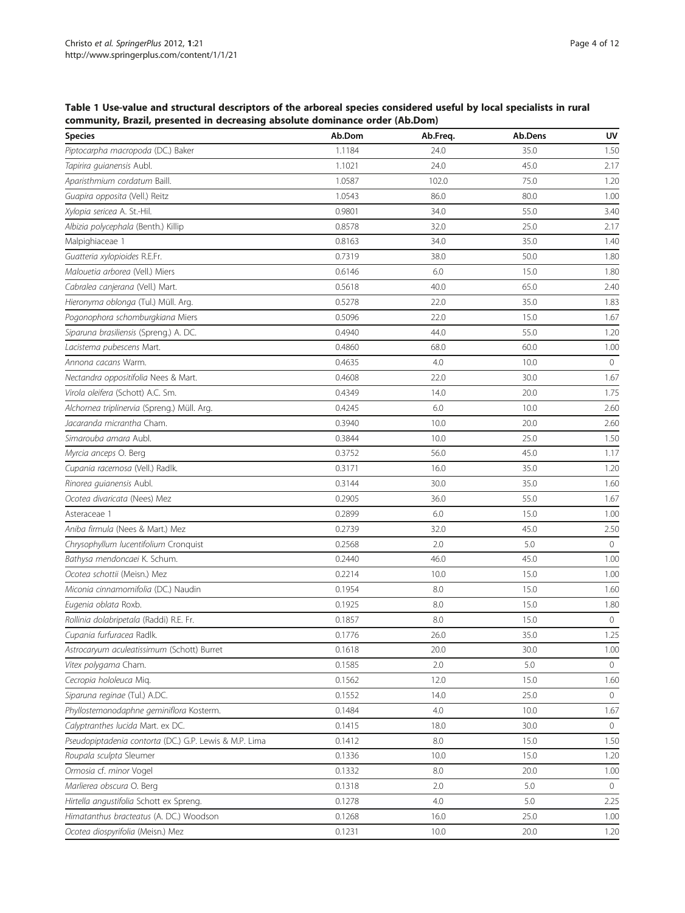<span id="page-3-0"></span>Table 1 Use-value and structural descriptors of the arboreal species considered useful by local specialists in rural community, Brazil, presented in decreasing absolute dominance order (Ab.Dom)

| <b>Species</b>                                         | Ab.Dom | Ab.Freq. | Ab.Dens | UV       |
|--------------------------------------------------------|--------|----------|---------|----------|
| Piptocarpha macropoda (DC.) Baker                      | 1.1184 | 24.0     | 35.0    | 1.50     |
| Tapirira guianensis Aubl.                              | 1.1021 | 24.0     | 45.0    | 2.17     |
| Aparisthmium cordatum Baill.                           | 1.0587 | 102.0    | 75.0    | 1.20     |
| Guapira opposita (Vell.) Reitz                         | 1.0543 | 86.0     | 80.0    | 1.00     |
| Xylopia sericea A. St.-Hil.                            | 0.9801 | 34.0     | 55.0    | 3.40     |
| Albizia polycephala (Benth.) Killip                    | 0.8578 | 32.0     | 25.0    | 2.17     |
| Malpighiaceae 1                                        | 0.8163 | 34.0     | 35.0    | 1.40     |
| Guatteria xylopioides R.E.Fr.                          | 0.7319 | 38.0     | 50.0    | 1.80     |
| Malouetia arborea (Vell.) Miers                        | 0.6146 | 6.0      | 15.0    | 1.80     |
| Cabralea canjerana (Vell.) Mart.                       | 0.5618 | 40.0     | 65.0    | 2.40     |
| Hieronyma oblonga (Tul.) Müll. Arg.                    | 0.5278 | 22.0     | 35.0    | 1.83     |
| Pogonophora schomburgkiana Miers                       | 0.5096 | 22.0     | 15.0    | 1.67     |
| Siparuna brasiliensis (Spreng.) A. DC.                 | 0.4940 | 44.0     | 55.0    | 1.20     |
| Lacistema pubescens Mart.                              | 0.4860 | 68.0     | 60.0    | 1.00     |
| Annona cacans Warm.                                    | 0.4635 | 4.0      | 10.0    | $\circ$  |
| Nectandra oppositifolia Nees & Mart.                   | 0.4608 | 22.0     | 30.0    | 1.67     |
| Virola oleifera (Schott) A.C. Sm.                      | 0.4349 | 14.0     | 20.0    | 1.75     |
| Alchornea triplinervia (Spreng.) Müll. Arg.            | 0.4245 | 6.0      | 10.0    | 2.60     |
| Jacaranda micrantha Cham.                              | 0.3940 | 10.0     | 20.0    | 2.60     |
| Simarouba amara Aubl.                                  | 0.3844 | 10.0     | 25.0    | 1.50     |
| Myrcia anceps O. Berg                                  | 0.3752 | 56.0     | 45.0    | 1.17     |
| Cupania racemosa (Vell.) Radlk.                        | 0.3171 | 16.0     | 35.0    | 1.20     |
| Rinorea quianensis Aubl.                               | 0.3144 | 30.0     | 35.0    | 1.60     |
| Ocotea divaricata (Nees) Mez                           | 0.2905 | 36.0     | 55.0    | 1.67     |
| Asteraceae 1                                           | 0.2899 | 6.0      | 15.0    | 1.00     |
| Aniba firmula (Nees & Mart.) Mez                       | 0.2739 | 32.0     | 45.0    | 2.50     |
| Chrysophyllum lucentifolium Cronquist                  | 0.2568 | 2.0      | 5.0     | $\circ$  |
| Bathysa mendoncaei K. Schum.                           | 0.2440 | 46.0     | 45.0    | 1.00     |
| Ocotea schottii (Meisn.) Mez                           | 0.2214 | 10.0     | 15.0    | 1.00     |
| Miconia cinnamomifolia (DC.) Naudin                    | 0.1954 | 8.0      | 15.0    | 1.60     |
| Eugenia oblata Roxb.                                   | 0.1925 | 8.0      | 15.0    | 1.80     |
| Rollinia dolabripetala (Raddi) R.E. Fr.                | 0.1857 | 8.0      | 15.0    | $\circ$  |
| Cupania furfuracea Radlk.                              | 0.1776 | 26.0     | 35.0    | 1.25     |
| Astrocaryum aculeatissimum (Schott) Burret             | 0.1618 | 20.0     | 30.0    | 1.00     |
| Vitex polygama Cham.                                   | 0.1585 | 2.0      | 5.0     | $\circ$  |
| Cecropia hololeuca Mig.                                | 0.1562 | 12.0     | 15.0    | 1.60     |
| Siparuna reginae (Tul.) A.DC.                          | 0.1552 | 14.0     | 25.0    | $\Omega$ |
| Phyllostemonodaphne geminiflora Kosterm.               | 0.1484 | 4.0      | 10.0    | 1.67     |
| Calyptranthes lucida Mart. ex DC.                      | 0.1415 | 18.0     | 30.0    | $\circ$  |
| Pseudopiptadenia contorta (DC.) G.P. Lewis & M.P. Lima | 0.1412 | 8.0      | 15.0    | 1.50     |
| Roupala sculpta Sleumer                                | 0.1336 | 10.0     | 15.0    | 1.20     |
| Ormosia cf. minor Vogel                                | 0.1332 | 8.0      | 20.0    | 1.00     |
| Marlierea obscura O. Berg                              | 0.1318 | 2.0      | 5.0     | $\circ$  |
| Hirtella angustifolia Schott ex Spreng.                | 0.1278 | 4.0      | 5.0     | 2.25     |
| Himatanthus bracteatus (A. DC.) Woodson                | 0.1268 | 16.0     | 25.0    | 1.00     |
| Ocotea diospyrifolia (Meisn.) Mez                      | 0.1231 | 10.0     | 20.0    | 1.20     |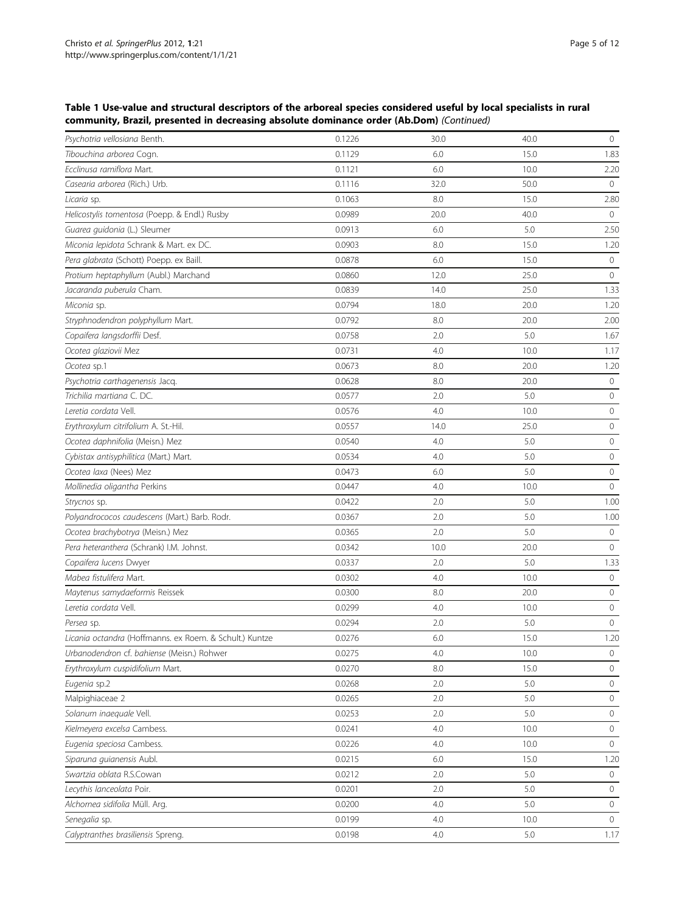Table 1 Use-value and structural descriptors of the arboreal species considered useful by local specialists in rural community, Brazil, presented in decreasing absolute dominance order (Ab.Dom) (Continued)

| 0.1226 | 30.0 | 40.0    | $\circ$             |
|--------|------|---------|---------------------|
| 0.1129 | 6.0  | 15.0    | 1.83                |
| 0.1121 | 6.0  | 10.0    | 2.20                |
| 0.1116 | 32.0 | 50.0    | 0                   |
| 0.1063 | 8.0  | 15.0    | 2.80                |
| 0.0989 | 20.0 | 40.0    | $\circ$             |
| 0.0913 | 6.0  | 5.0     | 2.50                |
| 0.0903 | 8.0  | 15.0    | 1.20                |
| 0.0878 | 6.0  | 15.0    | 0                   |
| 0.0860 | 12.0 | 25.0    | $\mathbf 0$         |
| 0.0839 | 14.0 | 25.0    | 1.33                |
| 0.0794 | 18.0 | 20.0    | 1.20                |
| 0.0792 | 8.0  | 20.0    | 2.00                |
| 0.0758 | 2.0  | 5.0     | 1.67                |
| 0.0731 | 4.0  | 10.0    | 1.17                |
| 0.0673 | 8.0  | 20.0    | 1.20                |
| 0.0628 | 8.0  | 20.0    | $\mathbf 0$         |
| 0.0577 | 2.0  | 5.0     | $\circ$             |
| 0.0576 | 4.0  | 10.0    | $\circ$             |
| 0.0557 | 14.0 | 25.0    | $\circ$             |
| 0.0540 | 4.0  | 5.0     | $\circ$             |
| 0.0534 | 4.0  | 5.0     | $\circ$             |
| 0.0473 | 6.0  | 5.0     | $\circ$             |
| 0.0447 | 4.0  | 10.0    | $\mathbf{0}$        |
| 0.0422 | 2.0  | 5.0     | 1.00                |
| 0.0367 | 2.0  | 5.0     | 1.00                |
| 0.0365 | 2.0  | 5.0     | $\circ$             |
| 0.0342 | 10.0 | 20.0    | $\circ$             |
| 0.0337 | 2.0  | 5.0     | 1.33                |
| 0.0302 | 4.0  | 10.0    | $\mathbf 0$         |
| 0.0300 | 8.0  | 20.0    | $\circ$             |
| 0.0299 | 4.0  | 10.0    | $\mathsf{O}\xspace$ |
| 0.0294 | 2.0  | 5.0     | $\mathbf 0$         |
| 0.0276 | 6.0  | 15.0    | 1.20                |
| 0.0275 | 4.0  | 10.0    | 0                   |
| 0.0270 | 8.0  | 15.0    | 0                   |
| 0.0268 | 2.0  | 5.0     | 0                   |
| 0.0265 | 2.0  | 5.0     | 0                   |
| 0.0253 | 2.0  | 5.0     | 0                   |
| 0.0241 | 4.0  | 10.0    | 0                   |
| 0.0226 | 4.0  | 10.0    | $\circ$             |
| 0.0215 | 6.0  | 15.0    | 1.20                |
| 0.0212 | 2.0  | $5.0\,$ | 0                   |
| 0.0201 | 2.0  | 5.0     | 0                   |
| 0.0200 | 4.0  | 5.0     | $\circ$             |
| 0.0199 | 4.0  | 10.0    | $\circ$             |
| 0.0198 | 4.0  | 5.0     | 1.17                |
|        |      |         |                     |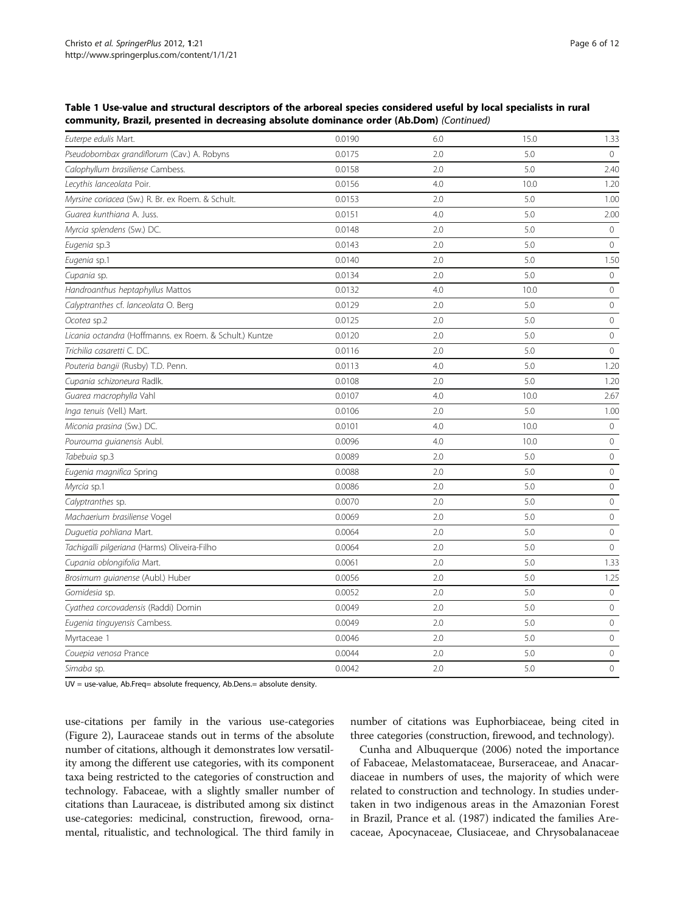Table 1 Use-value and structural descriptors of the arboreal species considered useful by local specialists in rural community, Brazil, presented in decreasing absolute dominance order (Ab.Dom) (Continued)

| Euterpe edulis Mart.                                    | 0.0190 | 6.0 | 15.0 | 1.33                |
|---------------------------------------------------------|--------|-----|------|---------------------|
| Pseudobombax grandiflorum (Cav.) A. Robyns              | 0.0175 | 2.0 | 5.0  | $\overline{0}$      |
| Calophyllum brasiliense Cambess.                        | 0.0158 | 2.0 | 5.0  | 2.40                |
| Lecythis lanceolata Poir.                               | 0.0156 | 4.0 | 10.0 | 1.20                |
| Myrsine coriacea (Sw.) R. Br. ex Roem. & Schult.        | 0.0153 | 2.0 | 5.0  | 1.00                |
| Guarea kunthiana A. Juss.                               | 0.0151 | 4.0 | 5.0  | 2.00                |
| Myrcia splendens (Sw.) DC.                              | 0.0148 | 2.0 | 5.0  | $\circ$             |
| Eugenia sp.3                                            | 0.0143 | 2.0 | 5.0  | $\mathsf{O}\xspace$ |
| Eugenia sp.1                                            | 0.0140 | 2.0 | 5.0  | 1.50                |
| Cupania sp.                                             | 0.0134 | 2.0 | 5.0  | $\overline{0}$      |
| Handroanthus heptaphyllus Mattos                        | 0.0132 | 4.0 | 10.0 | $\overline{0}$      |
| Calyptranthes cf. lanceolata O. Berg                    | 0.0129 | 2.0 | 5.0  | $\circ$             |
| Ocotea sp.2                                             | 0.0125 | 2.0 | 5.0  | $\circ$             |
| Licania octandra (Hoffmanns. ex Roem. & Schult.) Kuntze | 0.0120 | 2.0 | 5.0  | $\circ$             |
| Trichilia casaretti C. DC.                              | 0.0116 | 2.0 | 5.0  | $\overline{0}$      |
| Pouteria bangii (Rusby) T.D. Penn.                      | 0.0113 | 4.0 | 5.0  | 1.20                |
| Cupania schizoneura Radlk.                              | 0.0108 | 2.0 | 5.0  | 1.20                |
| Guarea macrophylla Vahl                                 | 0.0107 | 4.0 | 10.0 | 2.67                |
| Inga tenuis (Vell.) Mart.                               | 0.0106 | 2.0 | 5.0  | 1.00                |
| Miconia prasina (Sw.) DC.                               | 0.0101 | 4.0 | 10.0 | 0                   |
| Pourouma guianensis Aubl.                               | 0.0096 | 4.0 | 10.0 | $\mathsf{O}\xspace$ |
| Tabebuia sp.3                                           | 0.0089 | 2.0 | 5.0  | $\mathsf{O}\xspace$ |
| Eugenia magnifica Spring                                | 0.0088 | 2.0 | 5.0  | $\mathsf{O}\xspace$ |
| Myrcia sp.1                                             | 0.0086 | 2.0 | 5.0  | 0                   |
| Calyptranthes sp.                                       | 0.0070 | 2.0 | 5.0  | $\mathsf{O}\xspace$ |
| Machaerium brasiliense Vogel                            | 0.0069 | 2.0 | 5.0  | $\mathsf{O}\xspace$ |
| Duguetia pohliana Mart.                                 | 0.0064 | 2.0 | 5.0  | $\mathsf{O}\xspace$ |
| Tachigalli pilgeriana (Harms) Oliveira-Filho            | 0.0064 | 2.0 | 5.0  | $\mathsf{O}\xspace$ |
| Cupania oblongifolia Mart.                              | 0.0061 | 2.0 | 5.0  | 1.33                |
| Brosimum guianense (Aubl.) Huber                        | 0.0056 | 2.0 | 5.0  | 1.25                |
| Gomidesia sp.                                           | 0.0052 | 2.0 | 5.0  | $\circ$             |
| Cyathea corcovadensis (Raddi) Domin                     | 0.0049 | 2.0 | 5.0  | $\mathbf 0$         |
| Eugenia tinguyensis Cambess.                            | 0.0049 | 2.0 | 5.0  | $\circ$             |
| Myrtaceae 1                                             | 0.0046 | 2.0 | 5.0  | $\circ$             |
| Couepia venosa Prance                                   | 0.0044 | 2.0 | 5.0  | $\mathbb O$         |
| Simaba sp.                                              | 0.0042 | 2.0 | 5.0  | $\mathsf{O}\xspace$ |
|                                                         |        |     |      |                     |

UV = use-value, Ab.Freq= absolute frequency, Ab.Dens.= absolute density.

use-citations per family in the various use-categories (Figure [2](#page-6-0)), Lauraceae stands out in terms of the absolute number of citations, although it demonstrates low versatility among the different use categories, with its component taxa being restricted to the categories of construction and technology. Fabaceae, with a slightly smaller number of citations than Lauraceae, is distributed among six distinct use-categories: medicinal, construction, firewood, ornamental, ritualistic, and technological. The third family in number of citations was Euphorbiaceae, being cited in three categories (construction, firewood, and technology).

[Cunha and Albuquerque \(2006\)](#page-10-0) noted the importance of Fabaceae, Melastomataceae, Burseraceae, and Anacardiaceae in numbers of uses, the majority of which were related to construction and technology. In studies undertaken in two indigenous areas in the Amazonian Forest in Brazil, [Prance et al. \(1987\)](#page-10-0) indicated the families Arecaceae, Apocynaceae, Clusiaceae, and Chrysobalanaceae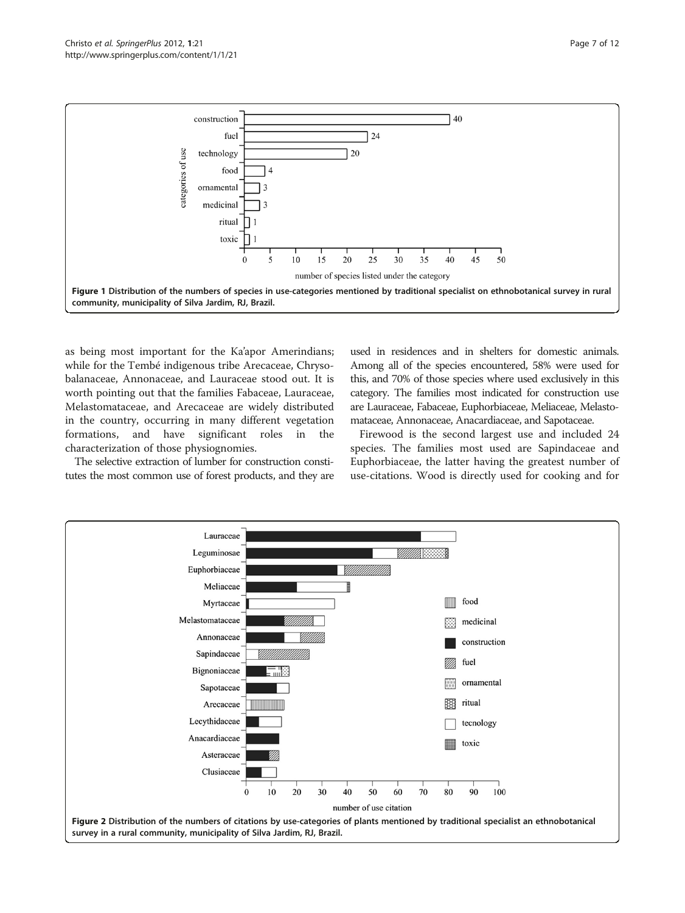<span id="page-6-0"></span>

as being most important for the Ka'apor Amerindians; while for the Tembé indigenous tribe Arecaceae, Chrysobalanaceae, Annonaceae, and Lauraceae stood out. It is worth pointing out that the families Fabaceae, Lauraceae, Melastomataceae, and Arecaceae are widely distributed in the country, occurring in many different vegetation formations, and have significant roles in the characterization of those physiognomies.

The selective extraction of lumber for construction constitutes the most common use of forest products, and they are used in residences and in shelters for domestic animals. Among all of the species encountered, 58% were used for this, and 70% of those species where used exclusively in this category. The families most indicated for construction use are Lauraceae, Fabaceae, Euphorbiaceae, Meliaceae, Melastomataceae, Annonaceae, Anacardiaceae, and Sapotaceae.

Firewood is the second largest use and included 24 species. The families most used are Sapindaceae and Euphorbiaceae, the latter having the greatest number of use-citations. Wood is directly used for cooking and for

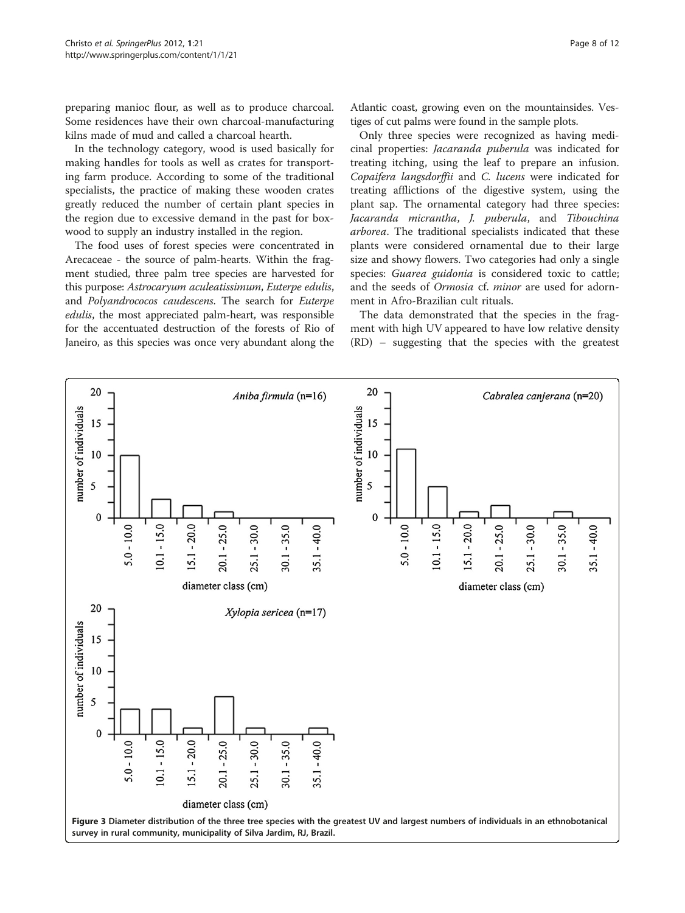<span id="page-7-0"></span>preparing manioc flour, as well as to produce charcoal. Some residences have their own charcoal-manufacturing kilns made of mud and called a charcoal hearth.

In the technology category, wood is used basically for making handles for tools as well as crates for transporting farm produce. According to some of the traditional specialists, the practice of making these wooden crates greatly reduced the number of certain plant species in the region due to excessive demand in the past for boxwood to supply an industry installed in the region.

The food uses of forest species were concentrated in Arecaceae - the source of palm-hearts. Within the fragment studied, three palm tree species are harvested for this purpose: Astrocaryum aculeatissimum, Euterpe edulis, and Polyandrococos caudescens. The search for Euterpe edulis, the most appreciated palm-heart, was responsible for the accentuated destruction of the forests of Rio of Janeiro, as this species was once very abundant along the Atlantic coast, growing even on the mountainsides. Vestiges of cut palms were found in the sample plots.

Only three species were recognized as having medicinal properties: Jacaranda puberula was indicated for treating itching, using the leaf to prepare an infusion. Copaifera langsdorffii and C. lucens were indicated for treating afflictions of the digestive system, using the plant sap. The ornamental category had three species: Jacaranda micrantha, J. puberula, and Tibouchina arborea. The traditional specialists indicated that these plants were considered ornamental due to their large size and showy flowers. Two categories had only a single species: Guarea guidonia is considered toxic to cattle; and the seeds of Ormosia cf. minor are used for adornment in Afro-Brazilian cult rituals.

The data demonstrated that the species in the fragment with high UV appeared to have low relative density (RD) – suggesting that the species with the greatest

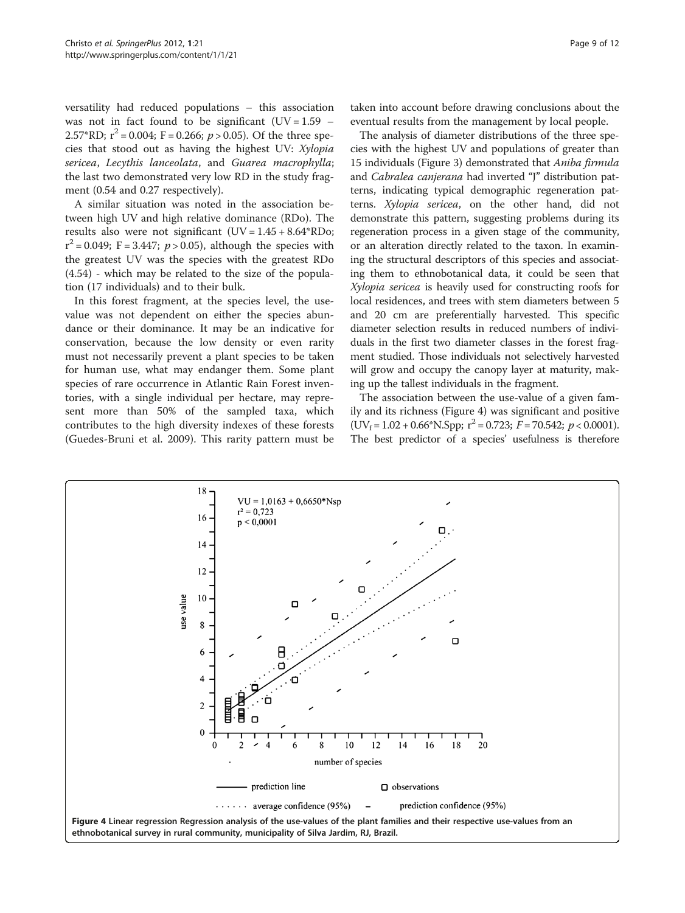versatility had reduced populations – this association was not in fact found to be significant  $(UV = 1.59 -$ 2.57\*RD;  $r^2 = 0.004$ ; F = 0.266; p > 0.05). Of the three species that stood out as having the highest UV: Xylopia sericea, Lecythis lanceolata, and Guarea macrophylla; the last two demonstrated very low RD in the study fragment (0.54 and 0.27 respectively).

A similar situation was noted in the association between high UV and high relative dominance (RDo). The results also were not significant (UV = 1.45 + 8.64\*RDo;  $r^2 = 0.049$ ; F = 3.447;  $p > 0.05$ ), although the species with the greatest UV was the species with the greatest RDo (4.54) - which may be related to the size of the population (17 individuals) and to their bulk.

In this forest fragment, at the species level, the usevalue was not dependent on either the species abundance or their dominance. It may be an indicative for conservation, because the low density or even rarity must not necessarily prevent a plant species to be taken for human use, what may endanger them. Some plant species of rare occurrence in Atlantic Rain Forest inventories, with a single individual per hectare, may represent more than 50% of the sampled taxa, which contributes to the high diversity indexes of these forests ([Guedes-Bruni et al. 2009](#page-10-0)). This rarity pattern must be

taken into account before drawing conclusions about the eventual results from the management by local people.

The analysis of diameter distributions of the three species with the highest UV and populations of greater than 15 individuals (Figure [3](#page-7-0)) demonstrated that Aniba firmula and Cabralea canjerana had inverted "J" distribution patterns, indicating typical demographic regeneration patterns. Xylopia sericea, on the other hand, did not demonstrate this pattern, suggesting problems during its regeneration process in a given stage of the community, or an alteration directly related to the taxon. In examining the structural descriptors of this species and associating them to ethnobotanical data, it could be seen that Xylopia sericea is heavily used for constructing roofs for local residences, and trees with stem diameters between 5 and 20 cm are preferentially harvested. This specific diameter selection results in reduced numbers of individuals in the first two diameter classes in the forest fragment studied. Those individuals not selectively harvested will grow and occupy the canopy layer at maturity, making up the tallest individuals in the fragment.

The association between the use-value of a given family and its richness (Figure 4) was significant and positive  $(UV_f = 1.02 + 0.66^*N$ .Spp;  $r^2 = 0.723$ ;  $F = 70.542$ ;  $p < 0.0001$ ). The best predictor of a species' usefulness is therefore

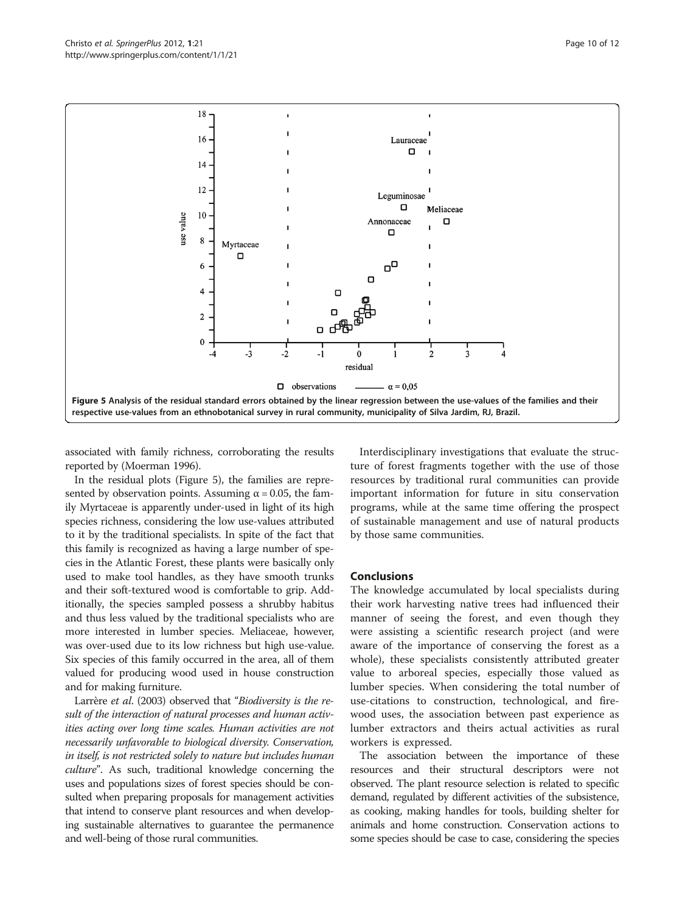

associated with family richness, corroborating the results reported by [\(Moerman 1996\)](#page-10-0).

In the residual plots (Figure 5), the families are represented by observation points. Assuming  $\alpha$  = 0.05, the family Myrtaceae is apparently under-used in light of its high species richness, considering the low use-values attributed to it by the traditional specialists. In spite of the fact that this family is recognized as having a large number of species in the Atlantic Forest, these plants were basically only used to make tool handles, as they have smooth trunks and their soft-textured wood is comfortable to grip. Additionally, the species sampled possess a shrubby habitus and thus less valued by the traditional specialists who are more interested in lumber species. Meliaceae, however, was over-used due to its low richness but high use-value. Six species of this family occurred in the area, all of them valued for producing wood used in house construction and for making furniture.

[Larrère](#page-10-0) et al. [\(2003](#page-10-0)) observed that "Biodiversity is the result of the interaction of natural processes and human activities acting over long time scales. Human activities are not necessarily unfavorable to biological diversity. Conservation, in itself, is not restricted solely to nature but includes human culture". As such, traditional knowledge concerning the uses and populations sizes of forest species should be consulted when preparing proposals for management activities that intend to conserve plant resources and when developing sustainable alternatives to guarantee the permanence and well-being of those rural communities.

Interdisciplinary investigations that evaluate the structure of forest fragments together with the use of those resources by traditional rural communities can provide important information for future in situ conservation programs, while at the same time offering the prospect of sustainable management and use of natural products by those same communities.

## Conclusions

The knowledge accumulated by local specialists during their work harvesting native trees had influenced their manner of seeing the forest, and even though they were assisting a scientific research project (and were aware of the importance of conserving the forest as a whole), these specialists consistently attributed greater value to arboreal species, especially those valued as lumber species. When considering the total number of use-citations to construction, technological, and firewood uses, the association between past experience as lumber extractors and theirs actual activities as rural workers is expressed.

The association between the importance of these resources and their structural descriptors were not observed. The plant resource selection is related to specific demand, regulated by different activities of the subsistence, as cooking, making handles for tools, building shelter for animals and home construction. Conservation actions to some species should be case to case, considering the species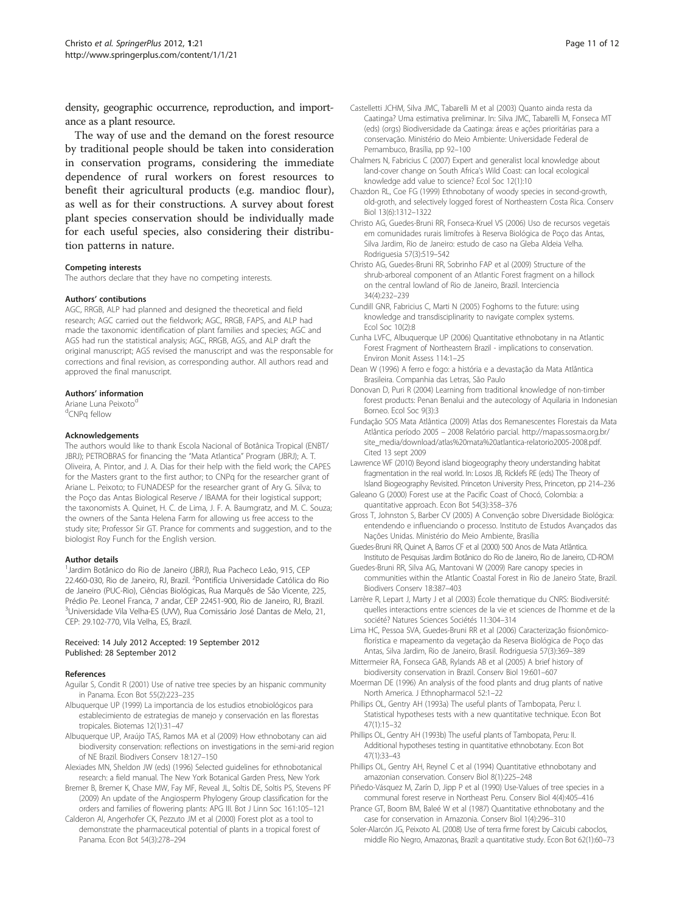<span id="page-10-0"></span>density, geographic occurrence, reproduction, and importance as a plant resource.

The way of use and the demand on the forest resource by traditional people should be taken into consideration in conservation programs, considering the immediate dependence of rural workers on forest resources to benefit their agricultural products (e.g. mandioc flour), as well as for their constructions. A survey about forest plant species conservation should be individually made for each useful species, also considering their distribution patterns in nature.

#### Competing interests

The authors declare that they have no competing interests.

#### Authors' contibutions

AGC, RRGB, ALP had planned and designed the theoretical and field research; AGC carried out the fieldwork; AGC, RRGB, FAPS, and ALP had made the taxonomic identification of plant families and species; AGC and AGS had run the statistical analysis; AGC, RRGB, AGS, and ALP draft the original manuscript; AGS revised the manuscript and was the responsable for corrections and final revision, as corresponding author. All authors read and approved the final manuscript.

## Authors' information

Ariane Luna Peixoto<sup>c</sup> <sup>d</sup>CNPq fellow

#### Acknowledgements

The authors would like to thank Escola Nacional of Botânica Tropical (ENBT/ JBRJ); PETROBRAS for financing the "Mata Atlantica" Program (JBRJ); A. T. Oliveira, A. Pintor, and J. A. Dias for their help with the field work; the CAPES for the Masters grant to the first author; to CNPq for the researcher grant of Ariane L. Peixoto; to FUNADESP for the researcher grant of Ary G. Silva; to the Poço das Antas Biological Reserve / IBAMA for their logistical support; the taxonomists A. Quinet, H. C. de Lima, J. F. A. Baumgratz, and M. C. Souza; the owners of the Santa Helena Farm for allowing us free access to the study site; Professor Sir GT. Prance for comments and suggestion, and to the biologist Roy Funch for the English version.

#### Author details

1 Jardim Botânico do Rio de Janeiro (JBRJ), Rua Pacheco Leão, 915, CEP 22.460-030, Rio de Janeiro, RJ, Brazil. <sup>2</sup>Pontifícia Universidade Católica do Rio de Janeiro (PUC-Rio), Ciências Biológicas, Rua Marquês de São Vicente, 225, Prédio Pe. Leonel Franca, 7 andar, CEP 22451-900, Rio de Janeiro, RJ, Brazil. <sup>3</sup>Universidade Vila Velha-ES (UVV), Rua Comissário José Dantas de Melo, 21, CEP: 29.102-770, Vila Velha, ES, Brazil.

#### Received: 14 July 2012 Accepted: 19 September 2012 Published: 28 September 2012

#### References

- Aguilar S, Condit R (2001) Use of native tree species by an hispanic community in Panama. Econ Bot 55(2):223–235
- Albuquerque UP (1999) La importancia de los estudios etnobiológicos para establecimiento de estrategias de manejo y conservación en las florestas tropicales. Biotemas 12(1):31–47
- Albuquerque UP, Araújo TAS, Ramos MA et al (2009) How ethnobotany can aid biodiversity conservation: reflections on investigations in the semi-arid region of NE Brazil. Biodivers Conserv 18:127–150
- Alexiades MN, Sheldon JW (eds) (1996) Selected guidelines for ethnobotanical research: a field manual. The New York Botanical Garden Press, New York
- Bremer B, Bremer K, Chase MW, Fay MF, Reveal JL, Soltis DE, Soltis PS, Stevens PF (2009) An update of the Angiosperm Phylogeny Group classification for the orders and families of flowering plants: APG III. Bot J Linn Soc 161:105–121
- Calderon AI, Angerhofer CK, Pezzuto JM et al (2000) Forest plot as a tool to demonstrate the pharmaceutical potential of plants in a tropical forest of Panama. Econ Bot 54(3):278–294
- Castelletti JCHM, Silva JMC, Tabarelli M et al (2003) Quanto ainda resta da Caatinga? Uma estimativa preliminar. In: Silva JMC, Tabarelli M, Fonseca MT (eds) (orgs) Biodiversidade da Caatinga: áreas e ações prioritárias para a conservação. Ministério do Meio Ambiente: Universidade Federal de Pernambuco, Brasília, pp 92–100
- Chalmers N, Fabricius C (2007) Expert and generalist local knowledge about land-cover change on South Africa's Wild Coast: can local ecological knowledge add value to science? Ecol Soc 12(1):10
- Chazdon RL, Coe FG (1999) Ethnobotany of woody species in second-growth, old-groth, and selectively logged forest of Northeastern Costa Rica. Conserv Biol 13(6):1312–1322
- Christo AG, Guedes-Bruni RR, Fonseca-Kruel VS (2006) Uso de recursos vegetais em comunidades rurais limítrofes à Reserva Biológica de Poço das Antas, Silva Jardim, Rio de Janeiro: estudo de caso na Gleba Aldeia Velha. Rodriguesia 57(3):519–542
- Christo AG, Guedes-Bruni RR, Sobrinho FAP et al (2009) Structure of the shrub-arboreal component of an Atlantic Forest fragment on a hillock on the central lowland of Rio de Janeiro, Brazil. Interciencia 34(4):232–239
- Cundill GNR, Fabricius C, Marti N (2005) Foghorns to the future: using knowledge and transdisciplinarity to navigate complex systems. Ecol Soc 10(2):8
- Cunha LVFC, Albuquerque UP (2006) Quantitative ethnobotany in na Atlantic Forest Fragment of Northeastern Brazil - implications to conservation. Environ Monit Assess 114:1–25
- Dean W (1996) A ferro e fogo: a história e a devastação da Mata Atlântica Brasileira. Companhia das Letras, São Paulo
- Donovan D, Puri R (2004) Learning from traditional knowledge of non-timber forest products: Penan Benalui and the autecology of Aquilaria in Indonesian Borneo. Ecol Soc 9(3):3
- Fundação SOS Mata Atlântica (2009) Atlas dos Remanescentes Florestais da Mata Atlântica período 2005 – 2008 Relatório parcial. [http://mapas.sosma.org.br/](http://mapas.sosma.org.br/site_media/download/atlas%20mata%20atlantica-relatorio2005-2008.pdf) [site\\_media/download/atlas%20mata%20atlantica-relatorio2005-2008.pdf.](http://mapas.sosma.org.br/site_media/download/atlas%20mata%20atlantica-relatorio2005-2008.pdf) Cited 13 sept 2009
- Lawrence WF (2010) Beyond island biogeography theory understanding habitat fragmentation in the real world. In: Losos JB, Ricklefs RE (eds) The Theory of Island Biogeography Revisited. Princeton University Press, Princeton, pp 214–236
- Galeano G (2000) Forest use at the Pacific Coast of Chocó, Colombia: a quantitative approach. Econ Bot 54(3):358–376
- Gross T, Johnston S, Barber CV (2005) A Convenção sobre Diversidade Biológica: entendendo e influenciando o processo. Instituto de Estudos Avançados das Nações Unidas. Ministério do Meio Ambiente, Brasília
- Guedes-Bruni RR, Quinet A, Barros CF et al (2000) 500 Anos de Mata Atlântica. Instituto de Pesquisas Jardim Botânico do Rio de Janeiro, Rio de Janeiro, CD-ROM
- Guedes-Bruni RR, Silva AG, Mantovani W (2009) Rare canopy species in communities within the Atlantic Coastal Forest in Rio de Janeiro State, Brazil. Biodivers Conserv 18:387–403
- Larrère R, Lepart J, Marty J et al (2003) École thematique du CNRS: Biodiversité: quelles interactions entre sciences de la vie et sciences de l'homme et de la société? Natures Sciences Sociétés 11:304–314
- Lima HC, Pessoa SVA, Guedes-Bruni RR et al (2006) Caracterização fisionômicoflorística e mapeamento da vegetação da Reserva Biológica de Poço das Antas, Silva Jardim, Rio de Janeiro, Brasil. Rodriguesia 57(3):369–389
- Mittermeier RA, Fonseca GAB, Rylands AB et al (2005) A brief history of biodiversity conservation in Brazil. Conserv Biol 19:601–607
- Moerman DE (1996) An analysis of the food plants and drug plants of native North America. J Ethnopharmacol 52:1–22
- Phillips OL, Gentry AH (1993a) The useful plants of Tambopata, Peru: I. Statistical hypotheses tests with a new quantitative technique. Econ Bot 47(1):15–32
- Phillips OL, Gentry AH (1993b) The useful plants of Tambopata, Peru: II. Additional hypotheses testing in quantitative ethnobotany. Econ Bot 47(1):33–43
- Phillips OL, Gentry AH, Reynel C et al (1994) Quantitative ethnobotany and amazonian conservation. Conserv Biol 8(1):225–248
- Piñedo-Vásquez M, Zarín D, Jipp P et al (1990) Use-Values of tree species in a communal forest reserve in Northeast Peru. Conserv Biol 4(4):405–416
- Prance GT, Boom BM, Baleé W et al (1987) Quantitative ethnobotany and the case for conservation in Amazonia. Conserv Biol 1(4):296–310
- Soler-Alarcón JG, Peixoto AL (2008) Use of terra firme forest by Caicubi caboclos, middle Rio Negro, Amazonas, Brazil: a quantitative study. Econ Bot 62(1):60–73